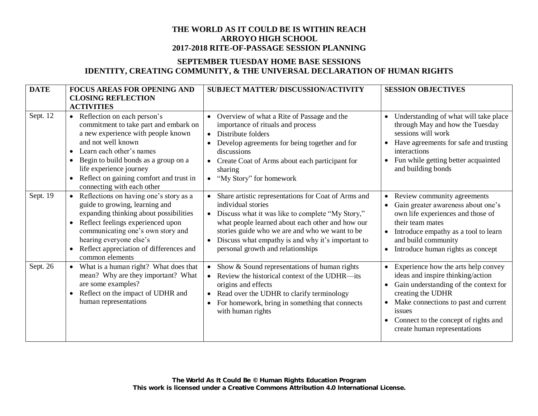# **SEPTEMBER TUESDAY HOME BASE SESSIONS IDENTITY, CREATING COMMUNITY, & THE UNIVERSAL DECLARATION OF HUMAN RIGHTS**

| <b>DATE</b> | <b>FOCUS AREAS FOR OPENING AND</b><br><b>CLOSING REFLECTION</b><br><b>ACTIVITIES</b>                                                                                                                                                                                                                                                      | SUBJECT MATTER/DISCUSSION/ACTIVITY                                                                                                                                                                                                                                                                                                                      | <b>SESSION OBJECTIVES</b>                                                                                                                                                                                                                                        |
|-------------|-------------------------------------------------------------------------------------------------------------------------------------------------------------------------------------------------------------------------------------------------------------------------------------------------------------------------------------------|---------------------------------------------------------------------------------------------------------------------------------------------------------------------------------------------------------------------------------------------------------------------------------------------------------------------------------------------------------|------------------------------------------------------------------------------------------------------------------------------------------------------------------------------------------------------------------------------------------------------------------|
| Sept. 12    | • Reflection on each person's<br>commitment to take part and embark on<br>a new experience with people known<br>and not well known<br>Learn each other's names<br>$\bullet$<br>Begin to build bonds as a group on a<br>٠<br>life experience journey<br>Reflect on gaining comfort and trust in<br>$\bullet$<br>connecting with each other | Overview of what a Rite of Passage and the<br>$\bullet$<br>importance of rituals and process<br>Distribute folders<br>$\bullet$<br>Develop agreements for being together and for<br>discussions<br>Create Coat of Arms about each participant for<br>sharing<br>"My Story" for homework<br>$\bullet$                                                    | Understanding of what will take place<br>through May and how the Tuesday<br>sessions will work<br>Have agreements for safe and trusting<br>interactions<br>Fun while getting better acquainted<br>and building bonds                                             |
| Sept. 19    | Reflections on having one's story as a<br>guide to growing, learning and<br>expanding thinking about possibilities<br>Reflect feelings experienced upon<br>$\bullet$<br>communicating one's own story and<br>hearing everyone else's<br>Reflect appreciation of differences and<br>common elements                                        | Share artistic representations for Coat of Arms and<br>individual stories<br>Discuss what it was like to complete "My Story,"<br>$\bullet$<br>what people learned about each other and how our<br>stories guide who we are and who we want to be<br>Discuss what empathy is and why it's important to<br>$\bullet$<br>personal growth and relationships | Review community agreements<br>Gain greater awareness about one's<br>own life experiences and those of<br>their team mates<br>Introduce empathy as a tool to learn<br>and build community<br>Introduce human rights as concept<br>$\bullet$                      |
| Sept. 26    | What is a human right? What does that<br>mean? Why are they important? What<br>are some examples?<br>Reflect on the impact of UDHR and<br>human representations                                                                                                                                                                           | Show & Sound representations of human rights<br>Review the historical context of the UDHR—its<br>$\bullet$<br>origins and effects<br>Read over the UDHR to clarify terminology<br>For homework, bring in something that connects<br>with human rights                                                                                                   | Experience how the arts help convey<br>ideas and inspire thinking/action<br>Gain understanding of the context for<br>creating the UDHR<br>Make connections to past and current<br>issues<br>Connect to the concept of rights and<br>create human representations |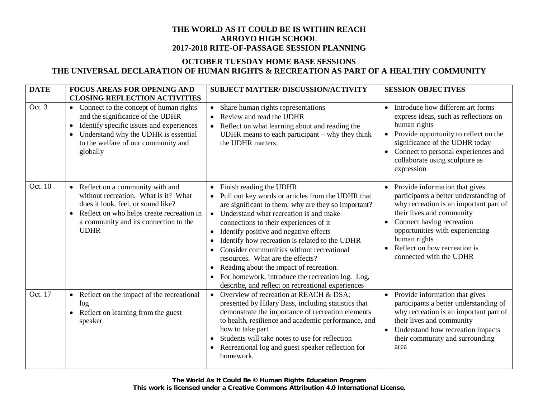# **OCTOBER TUESDAY HOME BASE SESSIONS THE UNIVERSAL DECLARATION OF HUMAN RIGHTS & RECREATION AS PART OF A HEALTHY COMMUNITY**

| <b>DATE</b> | <b>FOCUS AREAS FOR OPENING AND</b><br><b>CLOSING REFLECTION ACTIVITIES</b>                                                                                                                                                                               | <b>SUBJECT MATTER/DISCUSSION/ACTIVITY</b>                                                                                                                                                                                                                                                                                                                                                                                                                                                                                                                                                                        | <b>SESSION OBJECTIVES</b>                                                                                                                                                                                                                                                                  |
|-------------|----------------------------------------------------------------------------------------------------------------------------------------------------------------------------------------------------------------------------------------------------------|------------------------------------------------------------------------------------------------------------------------------------------------------------------------------------------------------------------------------------------------------------------------------------------------------------------------------------------------------------------------------------------------------------------------------------------------------------------------------------------------------------------------------------------------------------------------------------------------------------------|--------------------------------------------------------------------------------------------------------------------------------------------------------------------------------------------------------------------------------------------------------------------------------------------|
| Oct. 3      | Connect to the concept of human rights<br>$\bullet$<br>and the significance of the UDHR<br>Identify specific issues and experiences<br>$\bullet$<br>Understand why the UDHR is essential<br>$\bullet$<br>to the welfare of our community and<br>globally | Share human rights representations<br>$\bullet$<br>Review and read the UDHR<br>$\bullet$<br>Reflect on what learning about and reading the<br>UDHR means to each participant $-$ why they think<br>the UDHR matters.                                                                                                                                                                                                                                                                                                                                                                                             | Introduce how different art forms<br>$\bullet$<br>express ideas, such as reflections on<br>human rights<br>Provide opportunity to reflect on the<br>significance of the UDHR today<br>Connect to personal experiences and<br>collaborate using sculpture as<br>expression                  |
| Oct. 10     | • Reflect on a community with and<br>without recreation. What is it? What<br>does it look, feel, or sound like?<br>Reflect on who helps create recreation in<br>$\bullet$<br>a community and its connection to the<br><b>UDHR</b>                        | Finish reading the UDHR<br>$\bullet$<br>• Pull out key words or articles from the UDHR that<br>are significant to them; why are they so important?<br>• Understand what recreation is and make<br>connections to their experiences of it<br>Identify positive and negative effects<br>$\bullet$<br>Identify how recreation is related to the UDHR<br>$\bullet$<br>Consider communities without recreational<br>resources. What are the effects?<br>Reading about the impact of recreation.<br>$\bullet$<br>For homework, introduce the recreation log. Log,<br>describe, and reflect on recreational experiences | Provide information that gives<br>participants a better understanding of<br>why recreation is an important part of<br>their lives and community<br>Connect having recreation<br>opportunities with experiencing<br>human rights<br>Reflect on how recreation is<br>connected with the UDHR |
| Oct. 17     | Reflect on the impact of the recreational<br>$\bullet$<br>log<br>Reflect on learning from the guest<br>$\bullet$<br>speaker                                                                                                                              | Overview of recreation at REACH & DSA;<br>$\bullet$<br>presented by Hilary Bass, including statistics that<br>demonstrate the importance of recreation elements<br>to health, resilience and academic performance, and<br>how to take part<br>Students will take notes to use for reflection<br>Recreational log and guest speaker reflection for<br>$\bullet$<br>homework.                                                                                                                                                                                                                                      | Provide information that gives<br>$\bullet$<br>participants a better understanding of<br>why recreation is an important part of<br>their lives and community<br>Understand how recreation impacts<br>their community and surrounding<br>area                                               |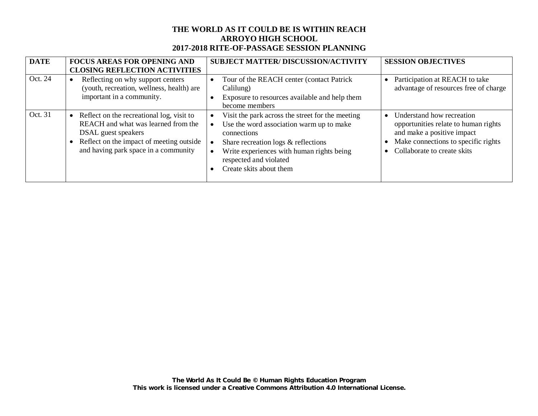| <b>DATE</b> | <b>FOCUS AREAS FOR OPENING AND</b><br><b>CLOSING REFLECTION ACTIVITIES</b>                                                                                                                  | <b>SUBJECT MATTER/DISCUSSION/ACTIVITY</b>                                                                                                                                                                                                            | <b>SESSION OBJECTIVES</b>                                                                                                                                             |
|-------------|---------------------------------------------------------------------------------------------------------------------------------------------------------------------------------------------|------------------------------------------------------------------------------------------------------------------------------------------------------------------------------------------------------------------------------------------------------|-----------------------------------------------------------------------------------------------------------------------------------------------------------------------|
| Oct. 24     | Reflecting on why support centers<br>$\bullet$<br>(youth, recreation, wellness, health) are<br>important in a community.                                                                    | Tour of the REACH center (contact Patrick<br>$\bullet$<br>Calilung)<br>Exposure to resources available and help them<br>become members                                                                                                               | Participation at REACH to take<br>$\bullet$<br>advantage of resources free of charge                                                                                  |
| Oct. 31     | Reflect on the recreational log, visit to<br>REACH and what was learned from the<br>DSAL guest speakers<br>Reflect on the impact of meeting outside<br>and having park space in a community | Visit the park across the street for the meeting<br>Use the word association warm up to make<br>connections<br>Share recreation logs & reflections<br>Write experiences with human rights being<br>respected and violated<br>Create skits about them | Understand how recreation<br>opportunities relate to human rights<br>and make a positive impact<br>Make connections to specific rights<br>Collaborate to create skits |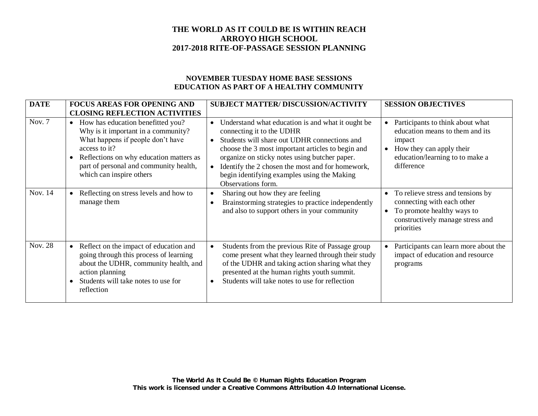### **NOVEMBER TUESDAY HOME BASE SESSIONS EDUCATION AS PART OF A HEALTHY COMMUNITY**

| <b>DATE</b>    | <b>FOCUS AREAS FOR OPENING AND</b>                                                                                                                                                                                                                           | <b>SUBJECT MATTER/ DISCUSSION/ACTIVITY</b>                                                                                                                                                                                                                                                                                                                                                           | <b>SESSION OBJECTIVES</b>                                                                                                                                               |
|----------------|--------------------------------------------------------------------------------------------------------------------------------------------------------------------------------------------------------------------------------------------------------------|------------------------------------------------------------------------------------------------------------------------------------------------------------------------------------------------------------------------------------------------------------------------------------------------------------------------------------------------------------------------------------------------------|-------------------------------------------------------------------------------------------------------------------------------------------------------------------------|
|                | <b>CLOSING REFLECTION ACTIVITIES</b>                                                                                                                                                                                                                         |                                                                                                                                                                                                                                                                                                                                                                                                      |                                                                                                                                                                         |
| Nov. 7         | How has education benefitted you?<br>$\bullet$<br>Why is it important in a community?<br>What happens if people don't have<br>access to it?<br>Reflections on why education matters as<br>part of personal and community health,<br>which can inspire others | Understand what education is and what it ought be<br>$\bullet$<br>connecting it to the UDHR<br>Students will share out UDHR connections and<br>$\bullet$<br>choose the 3 most important articles to begin and<br>organize on sticky notes using butcher paper.<br>Identify the 2 chosen the most and for homework,<br>$\bullet$<br>begin identifying examples using the Making<br>Observations form. | Participants to think about what<br>education means to them and its<br>impact<br>How they can apply their<br>$\bullet$<br>education/learning to to make a<br>difference |
| Nov. 14        | Reflecting on stress levels and how to<br>manage them                                                                                                                                                                                                        | Sharing out how they are feeling<br>$\bullet$<br>Brainstorming strategies to practice independently<br>$\bullet$<br>and also to support others in your community                                                                                                                                                                                                                                     | To relieve stress and tensions by<br>connecting with each other<br>To promote healthy ways to<br>$\bullet$<br>constructively manage stress and<br>priorities            |
| <b>Nov. 28</b> | Reflect on the impact of education and<br>$\bullet$<br>going through this process of learning<br>about the UDHR, community health, and<br>action planning<br>Students will take notes to use for<br>reflection                                               | Students from the previous Rite of Passage group<br>$\bullet$<br>come present what they learned through their study<br>of the UDHR and taking action sharing what they<br>presented at the human rights youth summit.<br>Students will take notes to use for reflection<br>$\bullet$                                                                                                                 | Participants can learn more about the<br>impact of education and resource<br>programs                                                                                   |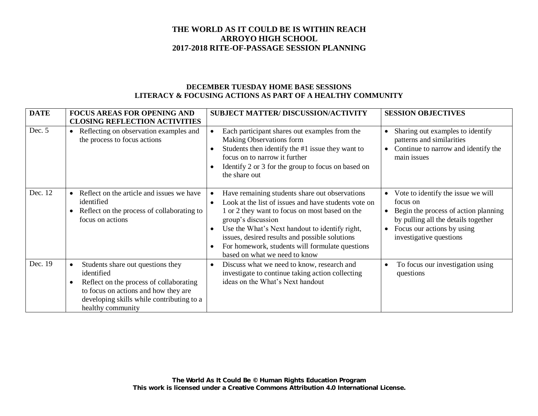### **DECEMBER TUESDAY HOME BASE SESSIONS LITERACY & FOCUSING ACTIONS AS PART OF A HEALTHY COMMUNITY**

| <b>DATE</b> | <b>FOCUS AREAS FOR OPENING AND</b><br><b>CLOSING REFLECTION ACTIVITIES</b>                                                                                                                                        | <b>SUBJECT MATTER/DISCUSSION/ACTIVITY</b>                                                                                                                                                                                                                                                                                                                                                        | <b>SESSION OBJECTIVES</b>                                                                                                                                                              |
|-------------|-------------------------------------------------------------------------------------------------------------------------------------------------------------------------------------------------------------------|--------------------------------------------------------------------------------------------------------------------------------------------------------------------------------------------------------------------------------------------------------------------------------------------------------------------------------------------------------------------------------------------------|----------------------------------------------------------------------------------------------------------------------------------------------------------------------------------------|
| Dec. $5$    | Reflecting on observation examples and<br>$\bullet$<br>the process to focus actions                                                                                                                               | Each participant shares out examples from the<br>Making Observations form<br>Students then identify the #1 issue they want to<br>$\bullet$<br>focus on to narrow it further<br>Identify 2 or 3 for the group to focus on based on<br>the share out                                                                                                                                               | Sharing out examples to identify<br>patterns and similarities<br>Continue to narrow and identify the<br>main issues                                                                    |
| Dec. 12     | Reflect on the article and issues we have<br>identified<br>Reflect on the process of collaborating to<br>focus on actions                                                                                         | Have remaining students share out observations<br>Look at the list of issues and have students vote on<br>$\bullet$<br>1 or 2 they want to focus on most based on the<br>group's discussion<br>Use the What's Next handout to identify right,<br>$\bullet$<br>issues, desired results and possible solutions<br>For homework, students will formulate questions<br>based on what we need to know | Vote to identify the issue we will<br>focus on<br>Begin the process of action planning<br>by pulling all the details together<br>Focus our actions by using<br>investigative questions |
| Dec. 19     | Students share out questions they<br>$\bullet$<br>identified<br>Reflect on the process of collaborating<br>to focus on actions and how they are<br>developing skills while contributing to a<br>healthy community | Discuss what we need to know, research and<br>$\bullet$<br>investigate to continue taking action collecting<br>ideas on the What's Next handout                                                                                                                                                                                                                                                  | To focus our investigation using<br>questions                                                                                                                                          |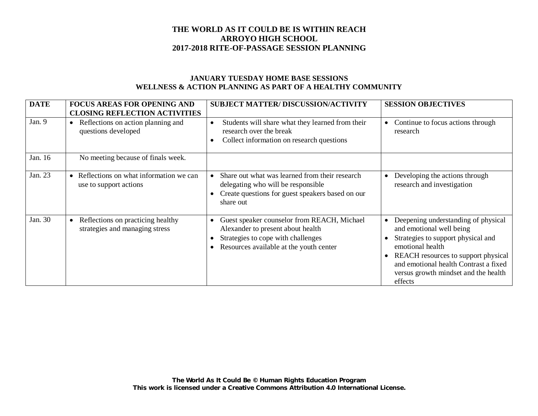### **JANUARY TUESDAY HOME BASE SESSIONS WELLNESS & ACTION PLANNING AS PART OF A HEALTHY COMMUNITY**

| <b>DATE</b> | <b>FOCUS AREAS FOR OPENING AND</b><br><b>CLOSING REFLECTION ACTIVITIES</b>       | <b>SUBJECT MATTER/ DISCUSSION/ACTIVITY</b>                                                                                                                                     | <b>SESSION OBJECTIVES</b>                                                                                                                                                                                                                                    |
|-------------|----------------------------------------------------------------------------------|--------------------------------------------------------------------------------------------------------------------------------------------------------------------------------|--------------------------------------------------------------------------------------------------------------------------------------------------------------------------------------------------------------------------------------------------------------|
| Jan. 9      | Reflections on action planning and<br>$\bullet$<br>questions developed           | Students will share what they learned from their<br>$\bullet$<br>research over the break<br>Collect information on research questions<br>$\bullet$                             | Continue to focus actions through<br>research                                                                                                                                                                                                                |
| Jan. 16     | No meeting because of finals week.                                               |                                                                                                                                                                                |                                                                                                                                                                                                                                                              |
| Jan. 23     | Reflections on what information we can<br>$\bullet$<br>use to support actions    | Share out what was learned from their research<br>delegating who will be responsible<br>Create questions for guest speakers based on our<br>share out                          | Developing the actions through<br>$\bullet$<br>research and investigation                                                                                                                                                                                    |
| Jan. 30     | Reflections on practicing healthy<br>$\bullet$<br>strategies and managing stress | Guest speaker counselor from REACH, Michael<br>$\bullet$<br>Alexander to present about health<br>Strategies to cope with challenges<br>Resources available at the youth center | Deepening understanding of physical<br>and emotional well being<br>Strategies to support physical and<br>emotional health<br>REACH resources to support physical<br>and emotional health Contrast a fixed<br>versus growth mindset and the health<br>effects |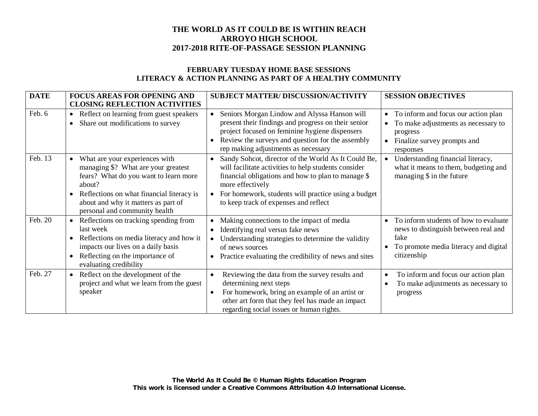### **FEBRUARY TUESDAY HOME BASE SESSIONS LITERACY & ACTION PLANNING AS PART OF A HEALTHY COMMUNITY**

| <b>DATE</b> | <b>FOCUS AREAS FOR OPENING AND</b>                                                                                                                                                                                                            | <b>SUBJECT MATTER/DISCUSSION/ACTIVITY</b>                                                                                                                                                                                                                                             | <b>SESSION OBJECTIVES</b>                                                                                                                                    |
|-------------|-----------------------------------------------------------------------------------------------------------------------------------------------------------------------------------------------------------------------------------------------|---------------------------------------------------------------------------------------------------------------------------------------------------------------------------------------------------------------------------------------------------------------------------------------|--------------------------------------------------------------------------------------------------------------------------------------------------------------|
|             | <b>CLOSING REFLECTION ACTIVITIES</b>                                                                                                                                                                                                          |                                                                                                                                                                                                                                                                                       |                                                                                                                                                              |
| Feb. 6      | • Reflect on learning from guest speakers<br>Share out modifications to survey                                                                                                                                                                | Seniors Morgan Lindow and Alyssa Hanson will<br>present their findings and progress on their senior<br>project focused on feminine hygiene dispensers<br>Review the surveys and question for the assembly<br>rep making adjustments as necessary                                      | To inform and focus our action plan<br>$\bullet$<br>To make adjustments as necessary to<br>progress<br>Finalize survey prompts and<br>$\bullet$<br>responses |
| Feb. 13     | What are your experiences with<br>managing \$? What are your greatest<br>fears? What do you want to learn more<br>about?<br>Reflections on what financial literacy is<br>about and why it matters as part of<br>personal and community health | Sandy Sohcot, director of the World As It Could Be,<br>will facilitate activities to help students consider<br>financial obligations and how to plan to manage \$<br>more effectively<br>For homework, students will practice using a budget<br>to keep track of expenses and reflect | Understanding financial literacy,<br>what it means to them, budgeting and<br>managing \$ in the future                                                       |
| Feb. 20     | Reflections on tracking spending from<br>$\bullet$<br>last week<br>Reflections on media literacy and how it<br>impacts our lives on a daily basis<br>Reflecting on the importance of<br>$\bullet$<br>evaluating credibility                   | Making connections to the impact of media<br>Identifying real versus fake news<br>$\bullet$<br>Understanding strategies to determine the validity<br>of news sources<br>Practice evaluating the credibility of news and sites                                                         | To inform students of how to evaluate<br>news to distinguish between real and<br>fake<br>To promote media literacy and digital<br>citizenship                |
| Feb. 27     | Reflect on the development of the<br>$\bullet$<br>project and what we learn from the guest<br>speaker                                                                                                                                         | Reviewing the data from the survey results and<br>$\bullet$<br>determining next steps<br>For homework, bring an example of an artist or<br>$\bullet$<br>other art form that they feel has made an impact<br>regarding social issues or human rights.                                  | To inform and focus our action plan<br>To make adjustments as necessary to<br>progress                                                                       |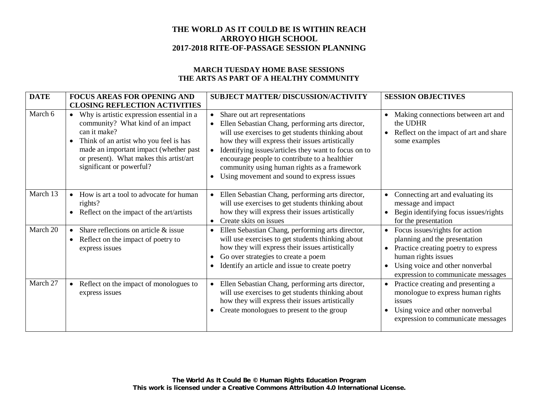#### **MARCH TUESDAY HOME BASE SESSIONS THE ARTS AS PART OF A HEALTHY COMMUNITY**

| <b>DATE</b> | <b>FOCUS AREAS FOR OPENING AND</b>                                                                                                                                                                                                                                       | <b>SUBJECT MATTER/ DISCUSSION/ACTIVITY</b>                                                                                                                                                                                                                                                                                                                                                                                             | <b>SESSION OBJECTIVES</b>                                                                                                                                                                              |
|-------------|--------------------------------------------------------------------------------------------------------------------------------------------------------------------------------------------------------------------------------------------------------------------------|----------------------------------------------------------------------------------------------------------------------------------------------------------------------------------------------------------------------------------------------------------------------------------------------------------------------------------------------------------------------------------------------------------------------------------------|--------------------------------------------------------------------------------------------------------------------------------------------------------------------------------------------------------|
|             | <b>CLOSING REFLECTION ACTIVITIES</b>                                                                                                                                                                                                                                     |                                                                                                                                                                                                                                                                                                                                                                                                                                        |                                                                                                                                                                                                        |
| March 6     | • Why is artistic expression essential in a<br>community? What kind of an impact<br>can it make?<br>Think of an artist who you feel is has<br>$\bullet$<br>made an important impact (whether past<br>or present). What makes this artist/art<br>significant or powerful? | Share out art representations<br>$\bullet$<br>Ellen Sebastian Chang, performing arts director,<br>will use exercises to get students thinking about<br>how they will express their issues artistically<br>Identifying issues/articles they want to focus on to<br>$\bullet$<br>encourage people to contribute to a healthier<br>community using human rights as a framework<br>Using movement and sound to express issues<br>$\bullet$ | Making connections between art and<br>the UDHR<br>Reflect on the impact of art and share<br>$\bullet$<br>some examples                                                                                 |
| March 13    | How is art a tool to advocate for human<br>$\bullet$<br>rights?<br>Reflect on the impact of the art/artists<br>$\bullet$                                                                                                                                                 | Ellen Sebastian Chang, performing arts director,<br>$\bullet$<br>will use exercises to get students thinking about<br>how they will express their issues artistically<br>Create skits on issues<br>$\bullet$                                                                                                                                                                                                                           | Connecting art and evaluating its<br>$\bullet$<br>message and impact<br>Begin identifying focus issues/rights<br>$\bullet$<br>for the presentation                                                     |
| March 20    | Share reflections on article $\&$ issue<br>$\bullet$<br>Reflect on the impact of poetry to<br>$\bullet$<br>express issues                                                                                                                                                | Ellen Sebastian Chang, performing arts director,<br>$\bullet$<br>will use exercises to get students thinking about<br>how they will express their issues artistically<br>Go over strategies to create a poem<br>$\bullet$<br>Identify an article and issue to create poetry                                                                                                                                                            | Focus issues/rights for action<br>planning and the presentation<br>Practice creating poetry to express<br>human rights issues<br>Using voice and other nonverbal<br>expression to communicate messages |
| March 27    | Reflect on the impact of monologues to<br>$\bullet$<br>express issues                                                                                                                                                                                                    | Ellen Sebastian Chang, performing arts director,<br>$\bullet$<br>will use exercises to get students thinking about<br>how they will express their issues artistically<br>Create monologues to present to the group                                                                                                                                                                                                                     | Practice creating and presenting a<br>$\bullet$<br>monologue to express human rights<br>issues<br>Using voice and other nonverbal<br>expression to communicate messages                                |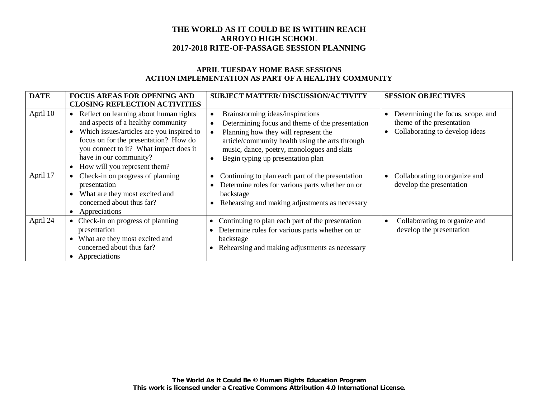### **APRIL TUESDAY HOME BASE SESSIONS ACTION IMPLEMENTATION AS PART OF A HEALTHY COMMUNITY**

| <b>DATE</b> | <b>FOCUS AREAS FOR OPENING AND</b>                                                                                                                                                                                                                                       | <b>SUBJECT MATTER/DISCUSSION/ACTIVITY</b>                                                                                                                                                                                                                                                   | <b>SESSION OBJECTIVES</b>                                                                        |
|-------------|--------------------------------------------------------------------------------------------------------------------------------------------------------------------------------------------------------------------------------------------------------------------------|---------------------------------------------------------------------------------------------------------------------------------------------------------------------------------------------------------------------------------------------------------------------------------------------|--------------------------------------------------------------------------------------------------|
|             | <b>CLOSING REFLECTION ACTIVITIES</b>                                                                                                                                                                                                                                     |                                                                                                                                                                                                                                                                                             |                                                                                                  |
| April 10    | • Reflect on learning about human rights<br>and aspects of a healthy community<br>Which issues/articles are you inspired to<br>focus on for the presentation? How do<br>you connect to it? What impact does it<br>have in our community?<br>How will you represent them? | Brainstorming ideas/inspirations<br>$\bullet$<br>Determining focus and theme of the presentation<br>Planning how they will represent the<br>article/community health using the arts through<br>music, dance, poetry, monologues and skits<br>Begin typing up presentation plan<br>$\bullet$ | Determining the focus, scope, and<br>theme of the presentation<br>Collaborating to develop ideas |
| April 17    | Check-in on progress of planning<br>presentation<br>What are they most excited and<br>concerned about thus far?<br>Appreciations                                                                                                                                         | Continuing to plan each part of the presentation<br>$\bullet$<br>Determine roles for various parts whether on or<br>backstage<br>Rehearsing and making adjustments as necessary                                                                                                             | Collaborating to organize and<br>develop the presentation                                        |
| April 24    | Check-in on progress of planning<br>presentation<br>What are they most excited and<br>concerned about thus far?<br>• Appreciations                                                                                                                                       | Continuing to plan each part of the presentation<br>Determine roles for various parts whether on or<br>backstage<br>Rehearsing and making adjustments as necessary                                                                                                                          | Collaborating to organize and<br>develop the presentation                                        |